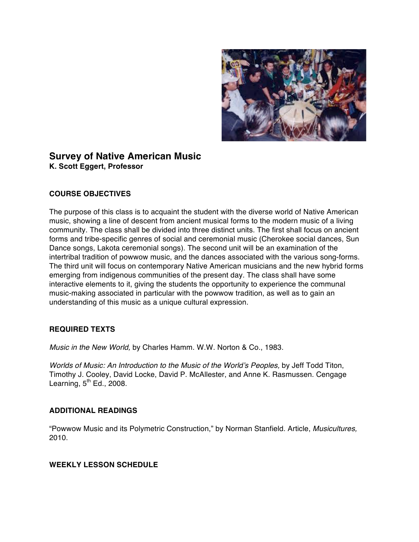

# **Survey of Native American Music K. Scott Eggert, Professor**

# **COURSE OBJECTIVES**

The purpose of this class is to acquaint the student with the diverse world of Native American music, showing a line of descent from ancient musical forms to the modern music of a living community. The class shall be divided into three distinct units. The first shall focus on ancient forms and tribe-specific genres of social and ceremonial music (Cherokee social dances, Sun Dance songs, Lakota ceremonial songs). The second unit will be an examination of the intertribal tradition of powwow music, and the dances associated with the various song-forms. The third unit will focus on contemporary Native American musicians and the new hybrid forms emerging from indigenous communities of the present day. The class shall have some interactive elements to it, giving the students the opportunity to experience the communal music-making associated in particular with the powwow tradition, as well as to gain an understanding of this music as a unique cultural expression.

## **REQUIRED TEXTS**

*Music in the New World,* by Charles Hamm. W.W. Norton & Co., 1983.

*Worlds of Music: An Introduction to the Music of the World's Peoples,* by Jeff Todd Titon, Timothy J. Cooley, David Locke, David P. McAllester, and Anne K. Rasmussen. Cengage Learning,  $5<sup>th</sup>$  Ed., 2008.

## **ADDITIONAL READINGS**

"Powwow Music and its Polymetric Construction," by Norman Stanfield. Article, *Musicultures,*  2010.

## **WEEKLY LESSON SCHEDULE**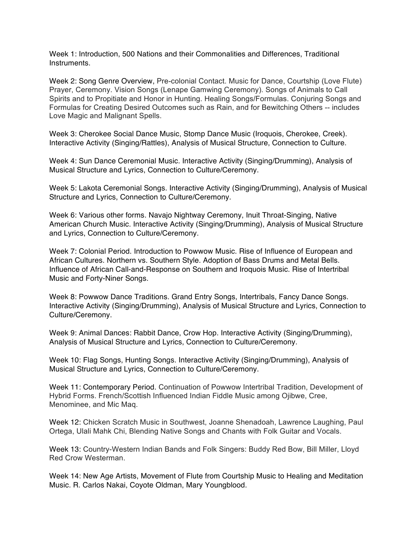Week 1: Introduction, 500 Nations and their Commonalities and Differences, Traditional Instruments.

Week 2: Song Genre Overview, Pre-colonial Contact. Music for Dance, Courtship (Love Flute) Prayer, Ceremony. Vision Songs (Lenape Gamwing Ceremony). Songs of Animals to Call Spirits and to Propitiate and Honor in Hunting. Healing Songs/Formulas. Conjuring Songs and Formulas for Creating Desired Outcomes such as Rain, and for Bewitching Others -- includes Love Magic and Malignant Spells.

Week 3: Cherokee Social Dance Music, Stomp Dance Music (Iroquois, Cherokee, Creek). Interactive Activity (Singing/Rattles), Analysis of Musical Structure, Connection to Culture.

Week 4: Sun Dance Ceremonial Music. Interactive Activity (Singing/Drumming), Analysis of Musical Structure and Lyrics, Connection to Culture/Ceremony.

Week 5: Lakota Ceremonial Songs. Interactive Activity (Singing/Drumming), Analysis of Musical Structure and Lyrics, Connection to Culture/Ceremony.

Week 6: Various other forms. Navajo Nightway Ceremony, Inuit Throat-Singing, Native American Church Music. Interactive Activity (Singing/Drumming), Analysis of Musical Structure and Lyrics, Connection to Culture/Ceremony.

Week 7: Colonial Period. Introduction to Powwow Music. Rise of Influence of European and African Cultures. Northern vs. Southern Style. Adoption of Bass Drums and Metal Bells. Influence of African Call-and-Response on Southern and Iroquois Music. Rise of Intertribal Music and Forty-Niner Songs.

Week 8: Powwow Dance Traditions. Grand Entry Songs, Intertribals, Fancy Dance Songs. Interactive Activity (Singing/Drumming), Analysis of Musical Structure and Lyrics, Connection to Culture/Ceremony.

Week 9: Animal Dances: Rabbit Dance, Crow Hop. Interactive Activity (Singing/Drumming), Analysis of Musical Structure and Lyrics, Connection to Culture/Ceremony.

Week 10: Flag Songs, Hunting Songs. Interactive Activity (Singing/Drumming), Analysis of Musical Structure and Lyrics, Connection to Culture/Ceremony.

Week 11: Contemporary Period. Continuation of Powwow Intertribal Tradition, Development of Hybrid Forms. French/Scottish Influenced Indian Fiddle Music among Ojibwe, Cree, Menominee, and Mic Maq.

Week 12: Chicken Scratch Music in Southwest, Joanne Shenadoah, Lawrence Laughing, Paul Ortega, Ulali Mahk Chi, Blending Native Songs and Chants with Folk Guitar and Vocals.

Week 13: Country-Western Indian Bands and Folk Singers: Buddy Red Bow, Bill Miller, Lloyd Red Crow Westerman.

Week 14: New Age Artists, Movement of Flute from Courtship Music to Healing and Meditation Music. R. Carlos Nakai, Coyote Oldman, Mary Youngblood.